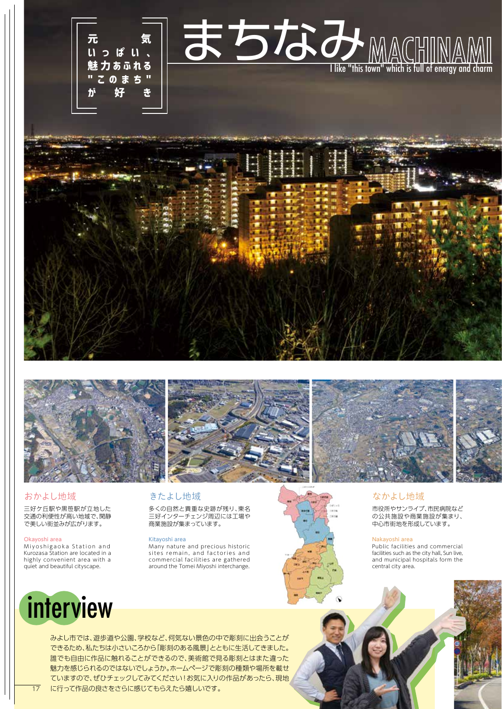



#### おかよし地域

三好ケ丘駅や黒笹駅が立地した 交通の利便性が高い地域で、閑静 で美しい街並みが広がります。

#### Okayoshi area

Miyoshigaoka Station and Kurozasa Station are located in a highly convenient area with a quiet and beautiful cityscape.

## きたよし地域

多くの自然と貴重な史跡が残り、東名 三好インターチェンジ周辺には工場や 商業施設が集まっています。

#### Kitayoshi area

Many nature and precious historic sites remain, and factories and commercial facilities are gathered around the Tomei Miyoshi interchange.





### なかよし地域

市役所やサンライブ、市民病院など の公共施設や商業施設が集まり、 中心市街地を形成しています。

#### Nakayoshi area

Public facilities and commercial facilities such as the city hall, Sun live, and municipal hospitals form the central city area.

# interview

みよし市では、遊歩道や公園、学校など、何気ない景色の中で彫刻に出会うことが できるため、私たちは小さいころから「彫刻のある風景」とともに生活してきました。 誰でも自由に作品に触れることができるので、美術館で見る彫刻とはまた違った 魅力を感じられるのではないでしょうか。ホームページで彫刻の種類や場所を載せ ていますので、ぜひチェックしてみてください!お気に入りの作品があったら、現地 17 に行って作品の良さをさらに感じてもらえたら嬉しいです。 カンファイン アンディング・プログラム しょうしょう しょうしょう しょうしょう